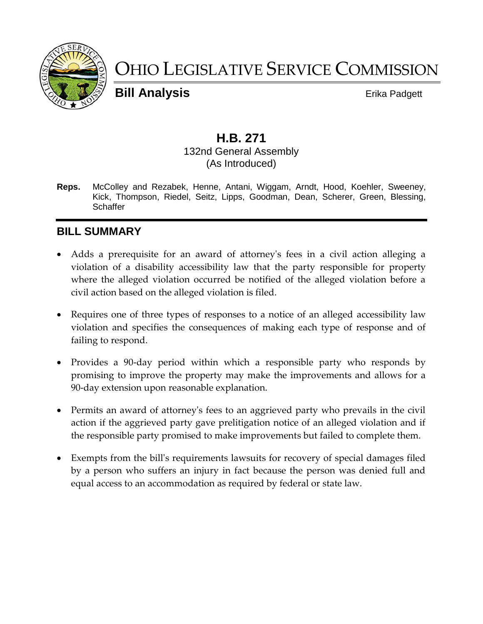

# OHIO LEGISLATIVE SERVICE COMMISSION

**Bill Analysis** Erika Padgett

# **H.B. 271**

#### 132nd General Assembly (As Introduced)

**Reps.** McColley and Rezabek, Henne, Antani, Wiggam, Arndt, Hood, Koehler, Sweeney, Kick, Thompson, Riedel, Seitz, Lipps, Goodman, Dean, Scherer, Green, Blessing, **Schaffer** 

# **BILL SUMMARY**

- Adds a prerequisite for an award of attorney's fees in a civil action alleging a violation of a disability accessibility law that the party responsible for property where the alleged violation occurred be notified of the alleged violation before a civil action based on the alleged violation is filed.
- Requires one of three types of responses to a notice of an alleged accessibility law violation and specifies the consequences of making each type of response and of failing to respond.
- Provides a 90-day period within which a responsible party who responds by promising to improve the property may make the improvements and allows for a 90-day extension upon reasonable explanation.
- Permits an award of attorney's fees to an aggrieved party who prevails in the civil action if the aggrieved party gave prelitigation notice of an alleged violation and if the responsible party promised to make improvements but failed to complete them.
- Exempts from the bill's requirements lawsuits for recovery of special damages filed by a person who suffers an injury in fact because the person was denied full and equal access to an accommodation as required by federal or state law.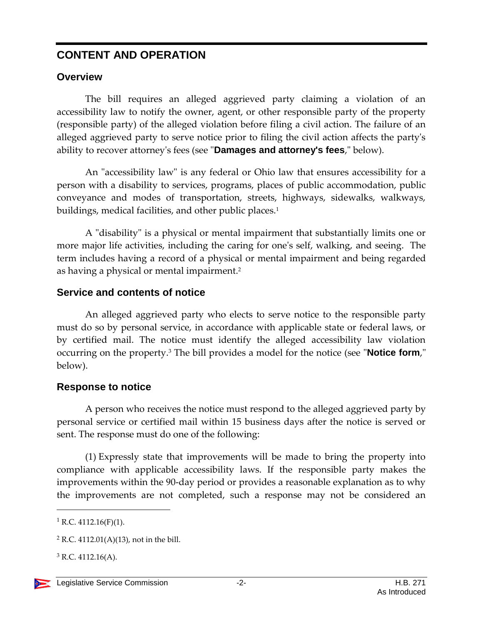# **CONTENT AND OPERATION**

## **Overview**

The bill requires an alleged aggrieved party claiming a violation of an accessibility law to notify the owner, agent, or other responsible party of the property (responsible party) of the alleged violation before filing a civil action. The failure of an alleged aggrieved party to serve notice prior to filing the civil action affects the party's ability to recover attorney's fees (see "**Damages and attorney's fees**," below).

An "accessibility law" is any federal or Ohio law that ensures accessibility for a person with a disability to services, programs, places of public accommodation, public conveyance and modes of transportation, streets, highways, sidewalks, walkways, buildings, medical facilities, and other public places.<sup>1</sup>

A "disability" is a physical or mental impairment that substantially limits one or more major life activities, including the caring for one's self, walking, and seeing. The term includes having a record of a physical or mental impairment and being regarded as having a physical or mental impairment.<sup>2</sup>

#### **Service and contents of notice**

An alleged aggrieved party who elects to serve notice to the responsible party must do so by personal service, in accordance with applicable state or federal laws, or by certified mail. The notice must identify the alleged accessibility law violation occurring on the property.<sup>3</sup> The bill provides a model for the notice (see "**Notice form**," below).

## **Response to notice**

A person who receives the notice must respond to the alleged aggrieved party by personal service or certified mail within 15 business days after the notice is served or sent. The response must do one of the following:

(1) Expressly state that improvements will be made to bring the property into compliance with applicable accessibility laws. If the responsible party makes the improvements within the 90-day period or provides a reasonable explanation as to why the improvements are not completed, such a response may not be considered an

 $1 R.C. 4112.16(F)(1)$ .

 $2$  R.C. 4112.01(A)(13), not in the bill.

 $3$  R.C. 4112.16(A).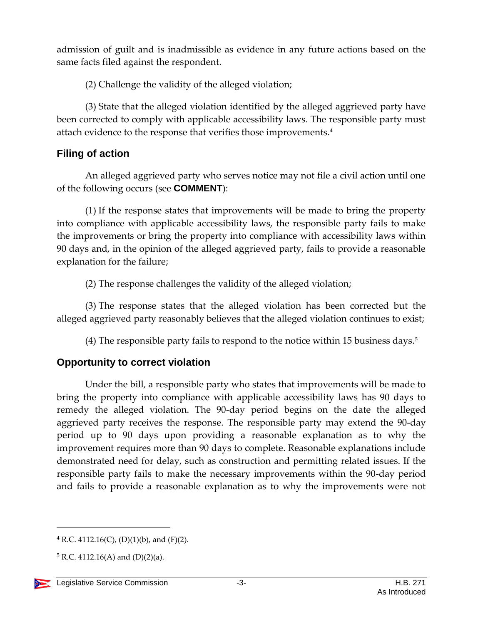admission of guilt and is inadmissible as evidence in any future actions based on the same facts filed against the respondent.

(2) Challenge the validity of the alleged violation;

(3) State that the alleged violation identified by the alleged aggrieved party have been corrected to comply with applicable accessibility laws. The responsible party must attach evidence to the response that verifies those improvements.<sup>4</sup>

#### **Filing of action**

An alleged aggrieved party who serves notice may not file a civil action until one of the following occurs (see **COMMENT**):

(1) If the response states that improvements will be made to bring the property into compliance with applicable accessibility laws, the responsible party fails to make the improvements or bring the property into compliance with accessibility laws within 90 days and, in the opinion of the alleged aggrieved party, fails to provide a reasonable explanation for the failure;

(2) The response challenges the validity of the alleged violation;

(3) The response states that the alleged violation has been corrected but the alleged aggrieved party reasonably believes that the alleged violation continues to exist;

(4) The responsible party fails to respond to the notice within 15 business days.<sup>5</sup>

## **Opportunity to correct violation**

Under the bill, a responsible party who states that improvements will be made to bring the property into compliance with applicable accessibility laws has 90 days to remedy the alleged violation. The 90-day period begins on the date the alleged aggrieved party receives the response. The responsible party may extend the 90-day period up to 90 days upon providing a reasonable explanation as to why the improvement requires more than 90 days to complete. Reasonable explanations include demonstrated need for delay, such as construction and permitting related issues. If the responsible party fails to make the necessary improvements within the 90-day period and fails to provide a reasonable explanation as to why the improvements were not

 $5 R.C. 4112.16(A)$  and  $(D)(2)(a)$ .



 $4$  R.C. 4112.16(C), (D)(1)(b), and (F)(2).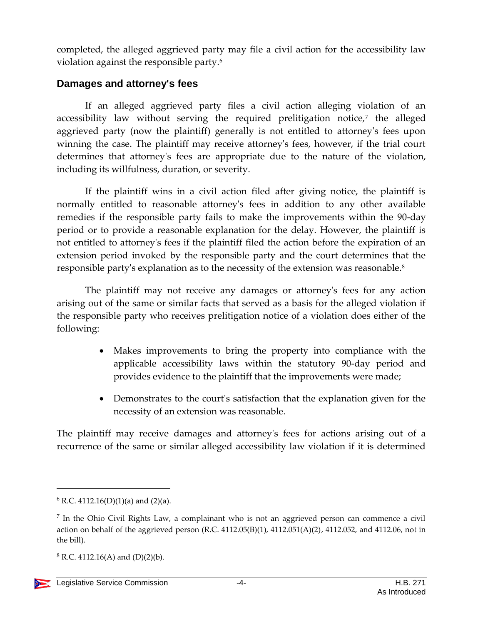completed, the alleged aggrieved party may file a civil action for the accessibility law violation against the responsible party.<sup>6</sup>

#### **Damages and attorney's fees**

If an alleged aggrieved party files a civil action alleging violation of an accessibility law without serving the required prelitigation notice,<sup>7</sup> the alleged aggrieved party (now the plaintiff) generally is not entitled to attorney's fees upon winning the case. The plaintiff may receive attorney's fees, however, if the trial court determines that attorney's fees are appropriate due to the nature of the violation, including its willfulness, duration, or severity.

If the plaintiff wins in a civil action filed after giving notice, the plaintiff is normally entitled to reasonable attorney's fees in addition to any other available remedies if the responsible party fails to make the improvements within the 90-day period or to provide a reasonable explanation for the delay. However, the plaintiff is not entitled to attorney's fees if the plaintiff filed the action before the expiration of an extension period invoked by the responsible party and the court determines that the responsible party's explanation as to the necessity of the extension was reasonable.<sup>8</sup>

The plaintiff may not receive any damages or attorney's fees for any action arising out of the same or similar facts that served as a basis for the alleged violation if the responsible party who receives prelitigation notice of a violation does either of the following:

- Makes improvements to bring the property into compliance with the applicable accessibility laws within the statutory 90-day period and provides evidence to the plaintiff that the improvements were made;
- Demonstrates to the court's satisfaction that the explanation given for the necessity of an extension was reasonable.

The plaintiff may receive damages and attorney's fees for actions arising out of a recurrence of the same or similar alleged accessibility law violation if it is determined

 $6$  R.C. 4112.16(D)(1)(a) and (2)(a).

<sup>&</sup>lt;sup>7</sup> In the Ohio Civil Rights Law, a complainant who is not an aggrieved person can commence a civil action on behalf of the aggrieved person (R.C. 4112.05(B)(1), 4112.051(A)(2), 4112.052, and 4112.06, not in the bill).

 $8$  R.C. 4112.16(A) and (D)(2)(b).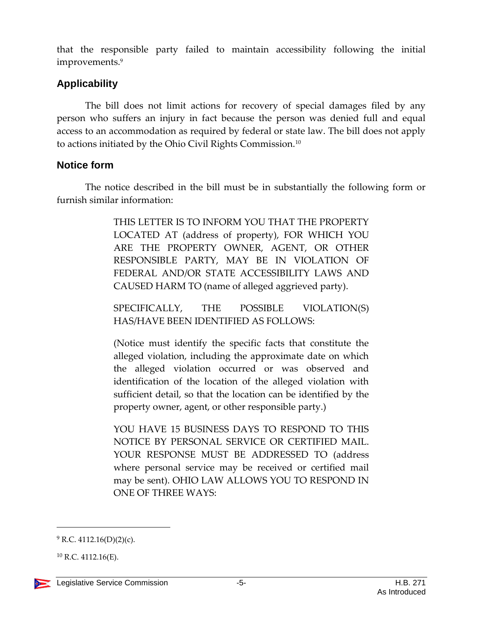that the responsible party failed to maintain accessibility following the initial improvements.<sup>9</sup>

#### **Applicability**

The bill does not limit actions for recovery of special damages filed by any person who suffers an injury in fact because the person was denied full and equal access to an accommodation as required by federal or state law. The bill does not apply to actions initiated by the Ohio Civil Rights Commission.<sup>10</sup>

#### **Notice form**

The notice described in the bill must be in substantially the following form or furnish similar information:

> THIS LETTER IS TO INFORM YOU THAT THE PROPERTY LOCATED AT (address of property), FOR WHICH YOU ARE THE PROPERTY OWNER, AGENT, OR OTHER RESPONSIBLE PARTY, MAY BE IN VIOLATION OF FEDERAL AND/OR STATE ACCESSIBILITY LAWS AND CAUSED HARM TO (name of alleged aggrieved party).

> SPECIFICALLY, THE POSSIBLE VIOLATION(S) HAS/HAVE BEEN IDENTIFIED AS FOLLOWS:

> (Notice must identify the specific facts that constitute the alleged violation, including the approximate date on which the alleged violation occurred or was observed and identification of the location of the alleged violation with sufficient detail, so that the location can be identified by the property owner, agent, or other responsible party.)

> YOU HAVE 15 BUSINESS DAYS TO RESPOND TO THIS NOTICE BY PERSONAL SERVICE OR CERTIFIED MAIL. YOUR RESPONSE MUST BE ADDRESSED TO (address where personal service may be received or certified mail may be sent). OHIO LAW ALLOWS YOU TO RESPOND IN ONE OF THREE WAYS:

 $10$  R.C. 4112.16(E).



 $9$  R.C. 4112.16(D)(2)(c).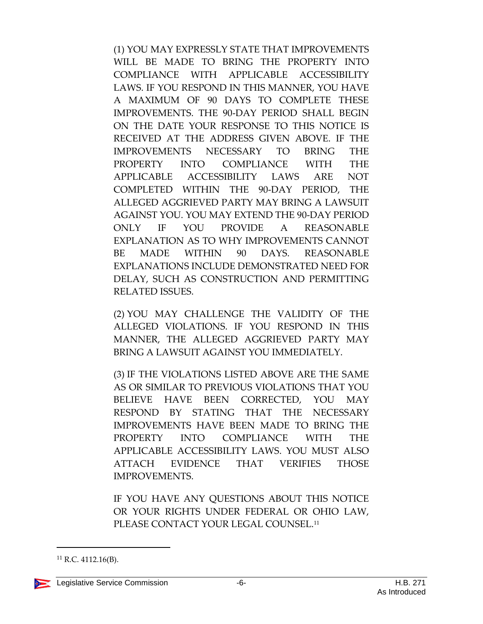(1) YOU MAY EXPRESSLY STATE THAT IMPROVEMENTS WILL BE MADE TO BRING THE PROPERTY INTO COMPLIANCE WITH APPLICABLE ACCESSIBILITY LAWS. IF YOU RESPOND IN THIS MANNER, YOU HAVE A MAXIMUM OF 90 DAYS TO COMPLETE THESE IMPROVEMENTS. THE 90-DAY PERIOD SHALL BEGIN ON THE DATE YOUR RESPONSE TO THIS NOTICE IS RECEIVED AT THE ADDRESS GIVEN ABOVE. IF THE IMPROVEMENTS NECESSARY TO BRING THE PROPERTY INTO COMPLIANCE WITH THE APPLICABLE ACCESSIBILITY LAWS ARE NOT COMPLETED WITHIN THE 90-DAY PERIOD, THE ALLEGED AGGRIEVED PARTY MAY BRING A LAWSUIT AGAINST YOU. YOU MAY EXTEND THE 90-DAY PERIOD ONLY IF YOU PROVIDE A REASONABLE EXPLANATION AS TO WHY IMPROVEMENTS CANNOT BE MADE WITHIN 90 DAYS. REASONABLE EXPLANATIONS INCLUDE DEMONSTRATED NEED FOR DELAY, SUCH AS CONSTRUCTION AND PERMITTING RELATED ISSUES.

(2) YOU MAY CHALLENGE THE VALIDITY OF THE ALLEGED VIOLATIONS. IF YOU RESPOND IN THIS MANNER, THE ALLEGED AGGRIEVED PARTY MAY BRING A LAWSUIT AGAINST YOU IMMEDIATELY.

(3) IF THE VIOLATIONS LISTED ABOVE ARE THE SAME AS OR SIMILAR TO PREVIOUS VIOLATIONS THAT YOU BELIEVE HAVE BEEN CORRECTED, YOU MAY RESPOND BY STATING THAT THE NECESSARY IMPROVEMENTS HAVE BEEN MADE TO BRING THE PROPERTY INTO COMPLIANCE WITH THE APPLICABLE ACCESSIBILITY LAWS. YOU MUST ALSO ATTACH EVIDENCE THAT VERIFIES THOSE IMPROVEMENTS.

IF YOU HAVE ANY QUESTIONS ABOUT THIS NOTICE OR YOUR RIGHTS UNDER FEDERAL OR OHIO LAW, PLEASE CONTACT YOUR LEGAL COUNSEL.<sup>11</sup>

<sup>11</sup> R.C. 4112.16(B).